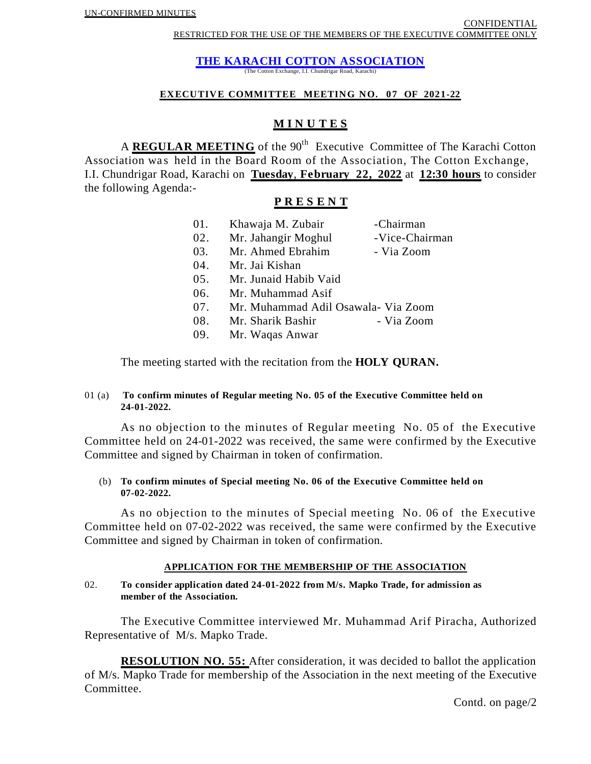# **THE KARACHI COTTON ASSOCIATION**

(The Cotton Exchange, I.I. Chundrigar Road, Karachi)

#### **EXECUTIVE COMMITTEE MEETING NO. 07 OF 2021-22**

# **M I N U T E S**

A **REGULAR MEETING** of the 90<sup>th</sup> Executive Committee of The Karachi Cotton Association was held in the Board Room of the Association, The Cotton Exchange, I.I. Chundrigar Road, Karachi on **Tuesday**, **February 22, 2022** at **12:30 hours** to consider the following Agenda:-

## **P R E S E N T**

| 01. | Khawaja M. Zubair                   | -Chairman      |
|-----|-------------------------------------|----------------|
| 02. | Mr. Jahangir Moghul                 | -Vice-Chairman |
| 03. | Mr. Ahmed Ebrahim                   | - Via Zoom     |
| 04. | Mr. Jai Kishan                      |                |
| 05. | Mr. Junaid Habib Vaid               |                |
| 06. | Mr. Muhammad Asif                   |                |
| 07. | Mr. Muhammad Adil Osawala- Via Zoom |                |
| 08. | Mr. Sharik Bashir                   | - Via Zoom     |
| 09. | Mr. Waqas Anwar                     |                |

The meeting started with the recitation from the **HOLY QURAN.**

#### 01 (a) **To confirm minutes of Regular meeting No. 05 of the Executive Committee held on 24-01-2022.**

As no objection to the minutes of Regular meeting No. 05 of the Executive Committee held on 24-01-2022 was received, the same were confirmed by the Executive Committee and signed by Chairman in token of confirmation.

### (b) **To confirm minutes of Special meeting No. 06 of the Executive Committee held on 07-02-2022.**

As no objection to the minutes of Special meeting No. 06 of the Executive Committee held on 07-02-2022 was received, the same were confirmed by the Executive Committee and signed by Chairman in token of confirmation.

#### **APPLICATION FOR THE MEMBERSHIP OF THE ASSOCIATION**

02. **To consider application dated 24-01-2022 from M/s. Mapko Trade, for admission as member of the Association.**

The Executive Committee interviewed Mr. Muhammad Arif Piracha, Authorized Representative of M/s. Mapko Trade.

**RESOLUTION NO. 55:** After consideration, it was decided to ballot the application of M/s. Mapko Trade for membership of the Association in the next meeting of the Executive Committee.

Contd. on page/2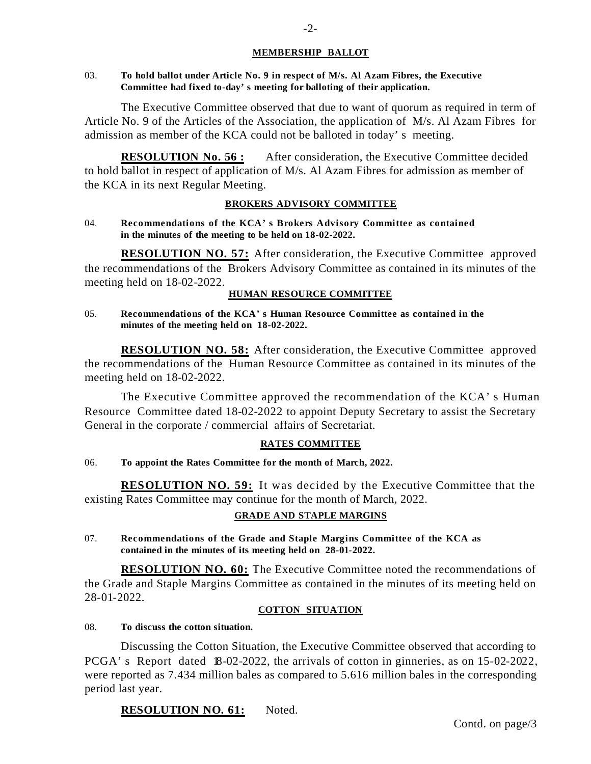#### **MEMBERSHIP BALLOT**

#### 03. **To hold ballot under Article No. 9 in respect of M/s. Al Azam Fibres, the Executive Committee had fixed to-day's meeting for balloting of their application.**

The Executive Committee observed that due to want of quorum as required in term of Article No. 9 of the Articles of the Association, the application of M/s. Al Azam Fibres for admission as member of the KCA could not be balloted in today's meeting.

**RESOLUTION No. 56 :** After consideration, the Executive Committee decided to hold ballot in respect of application of M/s. Al Azam Fibres for admission as member of the KCA in its next Regular Meeting.

#### **BROKERS ADVISORY COMMITTEE**

#### 04. **Recommendations of the KCA's Brokers Advisory Committee as contained in the minutes of the meeting to be held on 18-02-2022.**

**RESOLUTION NO. 57:** After consideration, the Executive Committee approved the recommendations of the Brokers Advisory Committee as contained in its minutes of the meeting held on 18-02-2022.

#### **HUMAN RESOURCE COMMITTEE**

#### 05. **Recommendations of the KCA's Human Resource Committee as contained in the minutes of the meeting held on 18-02-2022.**

**RESOLUTION NO. 58:** After consideration, the Executive Committee approved the recommendations of the Human Resource Committee as contained in its minutes of the meeting held on 18-02-2022.

The Executive Committee approved the recommendation of the KCA's Human Resource Committee dated 18-02-2022 to appoint Deputy Secretary to assist the Secretary General in the corporate / commercial affairs of Secretariat.

#### **RATES COMMITTEE**

#### 06. **To appoint the Rates Committee for the month of March, 2022.**

**RESOLUTION NO. 59:** It was decided by the Executive Committee that the existing Rates Committee may continue for the month of March, 2022.

#### **GRADE AND STAPLE MARGINS**

07. **Recommendations of the Grade and Staple Margins Committee of the KCA as contained in the minutes of its meeting held on 28-01-2022.**

**RESOLUTION NO. 60:** The Executive Committee noted the recommendations of the Grade and Staple Margins Committee as contained in the minutes of its meeting held on 28-01-2022.

#### **COTTON SITUATION**

#### 08. **To discuss the cotton situation.**

Discussing the Cotton Situation, the Executive Committee observed that according to PCGA's Report dated 18-02-2022, the arrivals of cotton in ginneries, as on 15-02-2022, were reported as 7.434 million bales as compared to 5.616 million bales in the corresponding period last year.

**RESOLUTION NO. 61:** Noted.